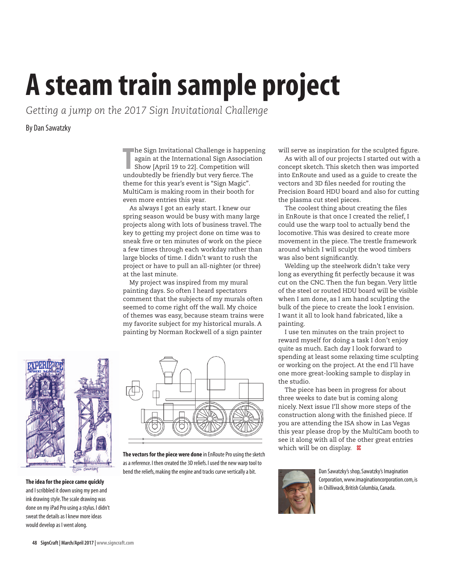## **A steam train sample project**

*Getting a jump on the 2017 Sign Invitational Challenge*

By Dan Sawatzky

**The Sign Invitational Challenge is happening**<br>
again at the International Sign Association<br>
Show [April 19 to 22]. Competition will<br>
undoubtedly be friendly but very fierce. The again at the International Sign Association Show [April 19 to 22]. Competition will undoubtedly be friendly but very fierce. The theme for this year's event is "Sign Magic". MultiCam is making room in their booth for even more entries this year.

As always I got an early start. I knew our spring season would be busy with many large projects along with lots of business travel. The key to getting my project done on time was to sneak five or ten minutes of work on the piece a few times through each workday rather than large blocks of time. I didn't want to rush the project or have to pull an all-nighter (or three) at the last minute.

My project was inspired from my mural painting days. So often I heard spectators comment that the subjects of my murals often seemed to come right off the wall. My choice of themes was easy, because steam trains were my favorite subject for my historical murals. A painting by Norman Rockwell of a sign painter



**The idea for the piece came quickly** and I scribbled it down using my pen and ink drawing style. The scale drawing was done on my iPad Pro using a stylus. I didn't sweat the details as I knew more ideas would develop as I went along.



**The vectors for the piece were done** in EnRoute Pro using the sketch as a reference. I then created the 3D reliefs. I used the new warp tool to bend the reliefs, making the engine and tracks curve vertically a bit. Dan Sawatzky's shop, Sawatzky's Imagination

will serve as inspiration for the sculpted figure.

As with all of our projects I started out with a concept sketch. This sketch then was imported into EnRoute and used as a guide to create the vectors and 3D files needed for routing the Precision Board HDU board and also for cutting the plasma cut steel pieces.

The coolest thing about creating the files in EnRoute is that once I created the relief, I could use the warp tool to actually bend the locomotive. This was desired to create more movement in the piece. The trestle framework around which I will sculpt the wood timbers was also bent significantly.

Welding up the steelwork didn't take very long as everything fit perfectly because it was cut on the CNC. Then the fun began. Very little of the steel or routed HDU board will be visible when I am done, as I am hand sculpting the bulk of the piece to create the look I envision. I want it all to look hand fabricated, like a painting.

I use ten minutes on the train project to reward myself for doing a task I don't enjoy quite as much. Each day I look forward to spending at least some relaxing time sculpting or working on the project. At the end I'll have one more great-looking sample to display in the studio.

The piece has been in progress for about three weeks to date but is coming along nicely. Next issue I'll show more steps of the construction along with the finished piece. If you are attending the ISA show in Las Vegas this year please drop by the MultiCam booth to see it along with all of the other great entries which will be on display. **SC** 



Corporation, www.imaginationcorporation.com, is in Chilliwack, British Columbia, Canada.